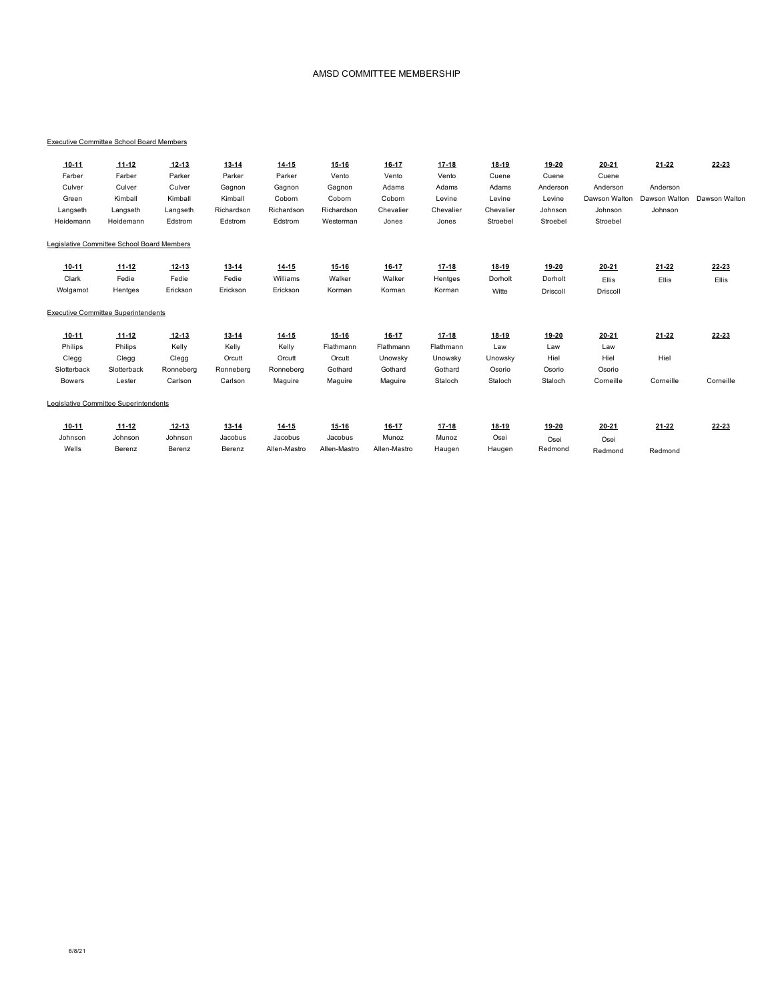#### AMSD COMMITTEE MEMBERSHIP

### Executive Committee School Board Members

| $10 - 11$     | $11 - 12$                                  | $12 - 13$ | $13 - 14$  | $14 - 15$    | $15 - 16$    | $16 - 17$    | $17 - 18$ | 18-19     | 19-20    | $20 - 21$     | $21 - 22$     | $22 - 23$     |
|---------------|--------------------------------------------|-----------|------------|--------------|--------------|--------------|-----------|-----------|----------|---------------|---------------|---------------|
| Farber        | Farber                                     | Parker    | Parker     | Parker       | Vento        | Vento        | Vento     | Cuene     | Cuene    | Cuene         |               |               |
| Culver        | Culver                                     | Culver    | Gagnon     | Gagnon       | Gagnon       | Adams        | Adams     | Adams     | Anderson | Anderson      | Anderson      |               |
| Green         | Kimball                                    | Kimball   | Kimball    | Coborn       | Coborn       | Coborn       | Levine    | Levine    | Levine   | Dawson Walton | Dawson Walton | Dawson Walton |
| Langseth      | Langseth                                   | Langseth  | Richardson | Richardson   | Richardson   | Chevalier    | Chevalier | Chevalier | Johnson  | Johnson       | Johnson       |               |
| Heidemann     | Heidemann                                  | Edstrom   | Edstrom    | Edstrom      | Westerman    | Jones        | Jones     | Stroebel  | Stroebel | Stroebel      |               |               |
|               | Legislative Committee School Board Members |           |            |              |              |              |           |           |          |               |               |               |
| $10 - 11$     | $11 - 12$                                  | $12 - 13$ | $13 - 14$  | $14 - 15$    | 15-16        | 16-17        | $17 - 18$ | 18-19     | 19-20    | 20-21         | $21 - 22$     | $22 - 23$     |
| Clark         | Fedie                                      | Fedie     | Fedie      | Williams     | Walker       | Walker       | Hentges   | Dorholt   | Dorholt  | Ellis         | Ellis         | Ellis         |
| Wolgamot      | Hentges                                    | Erickson  | Erickson   | Erickson     | Korman       | Korman       | Korman    | Witte     | Driscoll | Driscoll      |               |               |
|               | <b>Executive Committee Superintendents</b> |           |            |              |              |              |           |           |          |               |               |               |
| $10 - 11$     | $11 - 12$                                  | $12 - 13$ | $13 - 14$  | $14 - 15$    | $15 - 16$    | $16 - 17$    | $17 - 18$ | $18 - 19$ | 19-20    | $20 - 21$     | $21 - 22$     | 22-23         |
| Philips       | Philips                                    | Kelly     | Kelly      | Kelly        | Flathmann    | Flathmann    | Flathmann | Law       | Law      | Law           |               |               |
| Clegg         | Clegg                                      | Clegg     | Orcutt     | Orcutt       | Orcutt       | Unowsky      | Unowsky   | Unowsky   | Hiel     | Hiel          | Hiel          |               |
| Slotterback   | Slotterback                                | Ronneberg | Ronneberg  | Ronneberg    | Gothard      | Gothard      | Gothard   | Osorio    | Osorio   | Osorio        |               |               |
| <b>Bowers</b> | Lester                                     | Carlson   | Carlson    | Maguire      | Maguire      | Maguire      | Staloch   | Staloch   | Staloch  | Corneille     | Corneille     | Corneille     |
|               | Legislative Committee Superintendents      |           |            |              |              |              |           |           |          |               |               |               |
| $10 - 11$     | $11 - 12$                                  | $12 - 13$ | $13 - 14$  | $14 - 15$    | 15-16        | 16-17        | $17-18$   | 18-19     | 19-20    | $20 - 21$     | $21 - 22$     | $22 - 23$     |
| Johnson       | Johnson                                    | Johnson   | Jacobus    | Jacobus      | Jacobus      | Munoz        | Munoz     | Osei      | Osei     | Osei          |               |               |
| Wells         | Berenz                                     | Berenz    | Berenz     | Allen-Mastro | Allen-Mastro | Allen-Mastro | Haugen    | Haugen    | Redmond  | Redmond       | Redmond       |               |